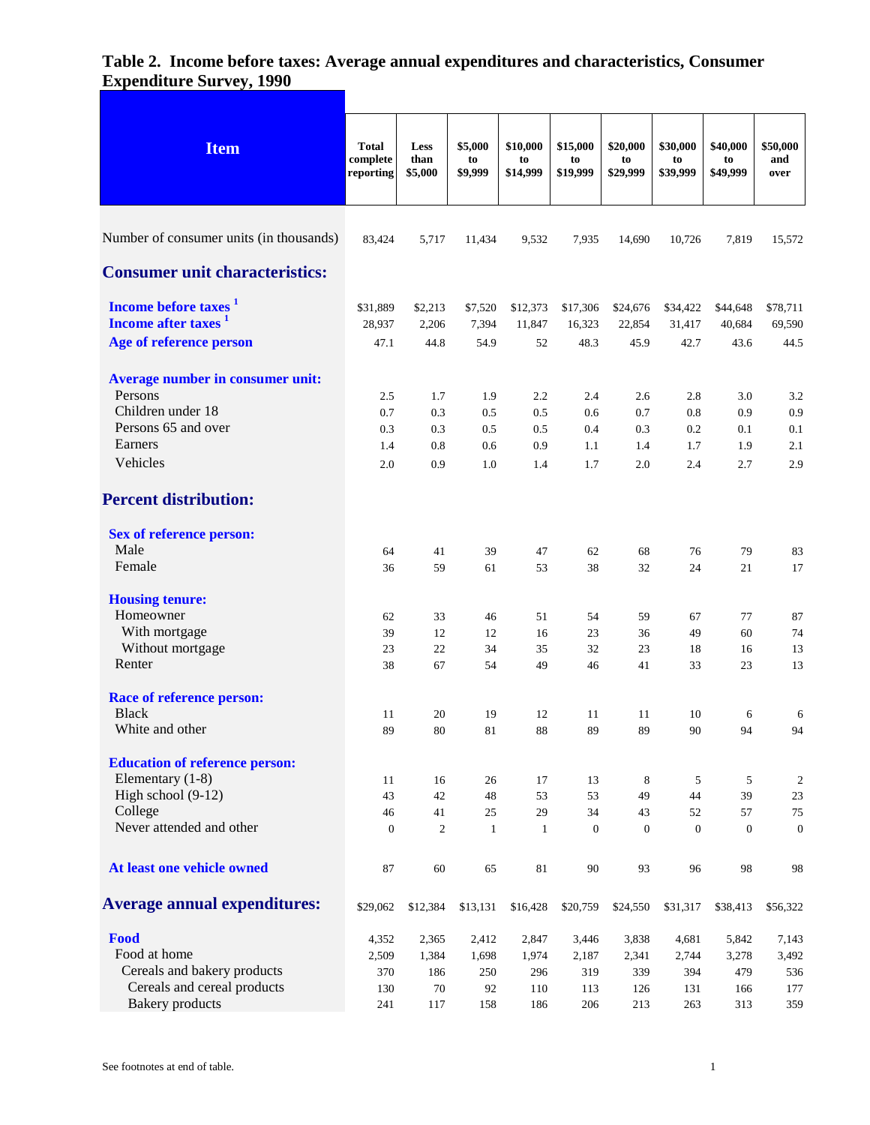| <b>Item</b>                             | <b>Total</b><br>complete<br>reporting | Less<br>than<br>\$5,000 | \$5,000<br>to<br>\$9,999 | \$10,000<br>to<br>\$14,999 | \$15,000<br>to<br>\$19,999 | \$20,000<br>to<br>\$29,999 | \$30,000<br>to<br>\$39,999 | \$40,000<br>to<br>\$49,999 | \$50,000<br>and<br>over |
|-----------------------------------------|---------------------------------------|-------------------------|--------------------------|----------------------------|----------------------------|----------------------------|----------------------------|----------------------------|-------------------------|
|                                         |                                       |                         |                          |                            |                            |                            |                            |                            |                         |
| Number of consumer units (in thousands) | 83,424                                | 5,717                   | 11,434                   | 9,532                      | 7,935                      | 14,690                     | 10,726                     | 7,819                      | 15,572                  |
| <b>Consumer unit characteristics:</b>   |                                       |                         |                          |                            |                            |                            |                            |                            |                         |
| Income before taxes <sup>1</sup>        | \$31,889                              | \$2,213                 | \$7,520                  | \$12,373                   | \$17,306                   | \$24,676                   | \$34,422                   | \$44,648                   | \$78,711                |
| Income after taxes <sup>1</sup>         | 28,937                                | 2,206                   | 7,394                    | 11,847                     | 16,323                     | 22,854                     | 31,417                     | 40,684                     | 69,590                  |
| Age of reference person                 | 47.1                                  | 44.8                    | 54.9                     | 52                         | 48.3                       | 45.9                       | 42.7                       | 43.6                       | 44.5                    |
| Average number in consumer unit:        |                                       |                         |                          |                            |                            |                            |                            |                            |                         |
| Persons                                 | 2.5                                   | 1.7                     | 1.9                      | 2.2                        | 2.4                        | 2.6                        | 2.8                        | 3.0                        | 3.2                     |
| Children under 18                       | 0.7                                   | 0.3                     | 0.5                      | 0.5                        | 0.6                        | 0.7                        | 0.8                        | 0.9                        | 0.9                     |
| Persons 65 and over                     | 0.3                                   | 0.3                     | 0.5                      | 0.5                        | 0.4                        | 0.3                        | 0.2                        | 0.1                        | 0.1                     |
| Earners                                 | 1.4                                   | 0.8                     | 0.6                      | 0.9                        | 1.1                        | 1.4                        | 1.7                        | 1.9                        | 2.1                     |
| Vehicles                                | 2.0                                   | 0.9                     | 1.0                      | 1.4                        | 1.7                        | 2.0                        | 2.4                        | 2.7                        | 2.9                     |
| <b>Percent distribution:</b>            |                                       |                         |                          |                            |                            |                            |                            |                            |                         |
| <b>Sex of reference person:</b>         |                                       |                         |                          |                            |                            |                            |                            |                            |                         |
| Male                                    | 64                                    | 41                      | 39                       | 47                         | 62                         | 68                         | 76                         | 79                         | 83                      |
| Female                                  | 36                                    | 59                      | 61                       | 53                         | 38                         | 32                         | 24                         | 21                         | 17                      |
| <b>Housing tenure:</b>                  |                                       |                         |                          |                            |                            |                            |                            |                            |                         |
| Homeowner                               | 62                                    | 33                      | 46                       | 51                         | 54                         | 59                         | 67                         | 77                         | 87                      |
| With mortgage                           | 39                                    | 12                      | 12                       | 16                         | 23                         | 36                         | 49                         | 60                         | 74                      |
| Without mortgage                        | 23                                    | 22                      | 34                       | 35                         | 32                         | 23                         | 18                         | 16                         | 13                      |
| Renter                                  | 38                                    | 67                      | 54                       | 49                         | 46                         | 41                         | 33                         | 23                         | 13                      |
| <b>Race of reference person:</b>        |                                       |                         |                          |                            |                            |                            |                            |                            |                         |
| <b>Black</b>                            | 11                                    | 20                      | 19                       | 12                         | 11                         | 11                         | 10                         | 6                          | 6                       |
| White and other                         | 89                                    | 80                      | 81                       | 88                         | 89                         | 89                         | 90                         | 94                         | 94                      |
| <b>Education of reference person:</b>   |                                       |                         |                          |                            |                            |                            |                            |                            |                         |
| Elementary (1-8)                        | 11                                    | 16                      | 26                       | 17                         | 13                         | 8                          | 5                          | 5                          | $\mathbf{2}$            |
| High school (9-12)                      | 43                                    | 42                      | 48                       | 53                         | 53                         | 49                         | 44                         | 39                         | 23                      |
| College                                 | 46                                    | 41                      | 25                       | 29                         | 34                         | 43                         | 52                         | 57                         | $75\,$                  |
| Never attended and other                | $\boldsymbol{0}$                      | $\overline{2}$          | $\mathbf{1}$             | $\mathbf{1}$               | $\boldsymbol{0}$           | $\boldsymbol{0}$           | $\boldsymbol{0}$           | $\boldsymbol{0}$           | $\boldsymbol{0}$        |
| At least one vehicle owned              | 87                                    | 60                      | 65                       | $81\,$                     | 90                         | 93                         | 96                         | 98                         | 98                      |
| <b>Average annual expenditures:</b>     | \$29,062                              | \$12,384                | \$13,131                 | \$16,428                   | \$20,759                   | \$24,550                   | \$31,317                   | \$38,413                   | \$56,322                |
| Food                                    | 4,352                                 | 2,365                   | 2,412                    | 2,847                      | 3,446                      | 3,838                      | 4,681                      | 5,842                      | 7,143                   |
| Food at home                            | 2,509                                 | 1,384                   | 1,698                    | 1,974                      | 2,187                      | 2,341                      | 2,744                      | 3,278                      | 3,492                   |
| Cereals and bakery products             | 370                                   | 186                     | 250                      | 296                        | 319                        | 339                        | 394                        | 479                        | 536                     |
| Cereals and cereal products             | 130                                   | $70\,$                  | 92                       | 110                        | 113                        | 126                        | 131                        | 166                        | 177                     |
| <b>Bakery</b> products                  | 241                                   | 117                     | 158                      | 186                        | 206                        | 213                        | 263                        | 313                        | 359                     |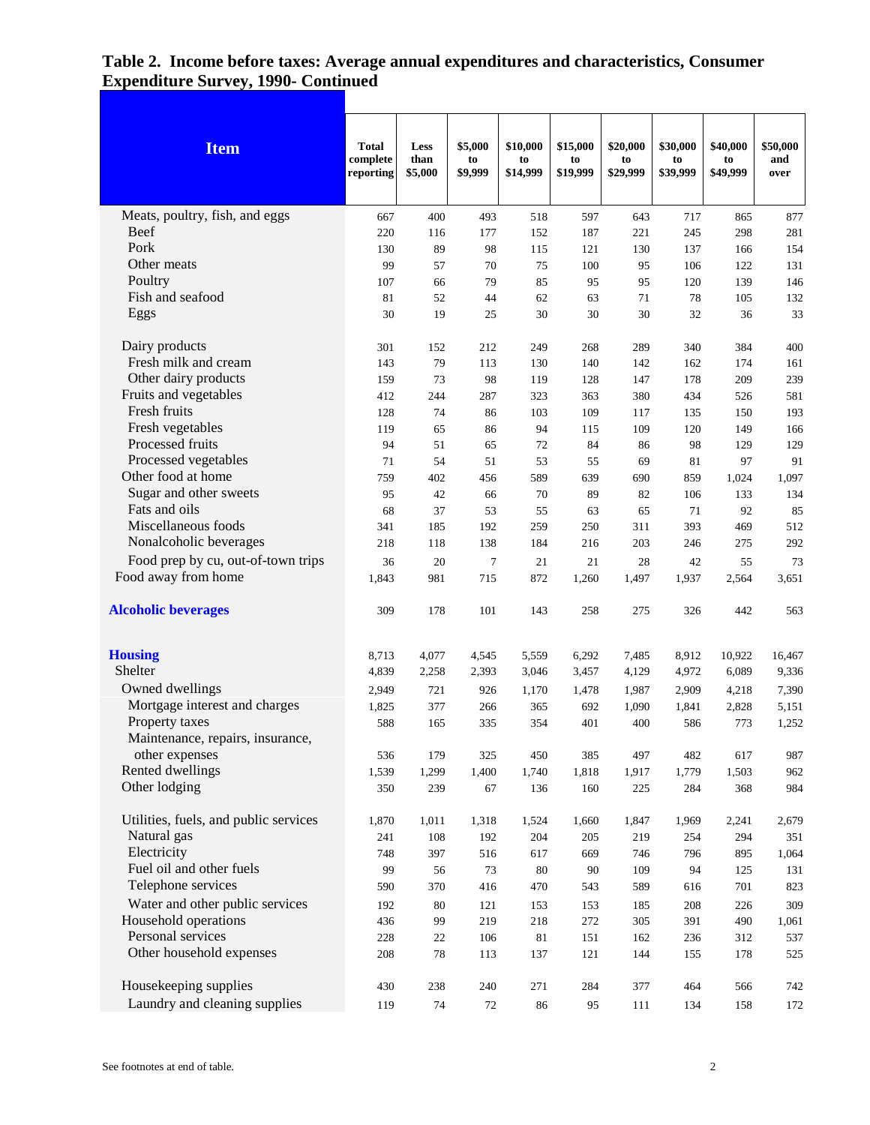| <b>Item</b>                           | Total<br>complete<br>reporting | Less<br>than<br>\$5,000 | \$5,000<br>to<br>\$9,999 | \$10,000<br>to<br>\$14,999 | \$15,000<br>to<br>\$19,999 | \$20,000<br>to<br>\$29,999 | \$30,000<br>to<br>\$39,999 | \$40,000<br>to<br>\$49,999 | \$50,000<br>and<br>over |
|---------------------------------------|--------------------------------|-------------------------|--------------------------|----------------------------|----------------------------|----------------------------|----------------------------|----------------------------|-------------------------|
| Meats, poultry, fish, and eggs        | 667                            | 400                     | 493                      | 518                        | 597                        | 643                        | 717                        | 865                        | 877                     |
| <b>Beef</b>                           | 220                            | 116                     | 177                      | 152                        | 187                        | 221                        | 245                        | 298                        | 281                     |
| Pork                                  | 130                            | 89                      | 98                       | 115                        | 121                        | 130                        | 137                        | 166                        | 154                     |
| Other meats                           | 99                             | 57                      | 70                       | 75                         | 100                        | 95                         | 106                        | 122                        | 131                     |
| Poultry                               | 107                            | 66                      | 79                       | 85                         | 95                         | 95                         | 120                        | 139                        | 146                     |
| Fish and seafood                      | 81                             | 52                      | 44                       | 62                         | 63                         | 71                         | 78                         | 105                        | 132                     |
| Eggs                                  | 30                             | 19                      | 25                       | 30                         | 30                         | 30                         | 32                         | 36                         | 33                      |
| Dairy products                        | 301                            | 152                     | 212                      | 249                        | 268                        | 289                        | 340                        | 384                        | 400                     |
| Fresh milk and cream                  | 143                            | 79                      | 113                      | 130                        | 140                        | 142                        | 162                        | 174                        | 161                     |
| Other dairy products                  | 159                            | 73                      | 98                       | 119                        | 128                        | 147                        | 178                        | 209                        | 239                     |
| Fruits and vegetables                 | 412                            | 244                     | 287                      | 323                        | 363                        | 380                        | 434                        | 526                        | 581                     |
| Fresh fruits                          | 128                            | 74                      | 86                       | 103                        | 109                        | 117                        | 135                        | 150                        | 193                     |
| Fresh vegetables                      | 119                            | 65                      | 86                       | 94                         | 115                        | 109                        | 120                        | 149                        | 166                     |
| Processed fruits                      | 94                             | 51                      | 65                       | 72                         | 84                         | 86                         | 98                         | 129                        | 129                     |
| Processed vegetables                  | 71                             | 54                      | 51                       | 53                         | 55                         | 69                         | 81                         | 97                         | 91                      |
| Other food at home                    | 759                            | 402                     | 456                      | 589                        | 639                        | 690                        | 859                        | 1,024                      | 1,097                   |
| Sugar and other sweets                | 95                             | 42                      | 66                       | 70                         | 89                         | 82                         | 106                        | 133                        | 134                     |
| Fats and oils                         | 68                             | 37                      | 53                       | 55                         | 63                         | 65                         | 71                         | 92                         | 85                      |
| Miscellaneous foods                   | 341                            | 185                     | 192                      | 259                        | 250                        | 311                        | 393                        | 469                        | 512                     |
| Nonalcoholic beverages                | 218                            | 118                     | 138                      | 184                        | 216                        | 203                        | 246                        | 275                        | 292                     |
| Food prep by cu, out-of-town trips    | 36                             | 20                      | $\tau$                   | 21                         | 21                         | 28                         | 42                         | 55                         | 73                      |
| Food away from home                   | 1,843                          | 981                     | 715                      | 872                        | 1,260                      | 1,497                      | 1,937                      | 2,564                      | 3,651                   |
| <b>Alcoholic beverages</b>            | 309                            | 178                     | 101                      | 143                        | 258                        | 275                        | 326                        | 442                        | 563                     |
| <b>Housing</b>                        | 8,713                          | 4,077                   | 4,545                    | 5,559                      | 6,292                      | 7,485                      | 8,912                      | 10,922                     | 16,467                  |
| <b>Shelter</b>                        | 4,839                          | 2,258                   | 2,393                    | 3,046                      | 3,457                      | 4,129                      | 4,972                      | 6,089                      | 9,336                   |
| Owned dwellings                       | 2,949                          | 721                     | 926                      | 1,170                      | 1,478                      | 1,987                      | 2,909                      | 4,218                      | 7,390                   |
| Mortgage interest and charges         | 1,825                          | 377                     | 266                      | 365                        | 692                        | 1,090                      | 1,841                      | 2,828                      | 5,151                   |
| Property taxes                        | 588                            | 165                     | 335                      | 354                        | 401                        | 400                        | 586                        | 773                        | 1,252                   |
| Maintenance, repairs, insurance,      |                                |                         |                          |                            |                            |                            |                            |                            |                         |
| other expenses                        | 536                            | 179                     | 325                      | 450                        | 385                        | 497                        | 482                        | 617                        | 987                     |
| Rented dwellings                      | 1,539                          | 1,299                   | 1,400                    | 1,740                      | 1,818                      | 1,917                      | 1,779                      | 1,503                      | 962                     |
| Other lodging                         | 350                            | 239                     | 67                       | 136                        | 160                        | 225                        | 284                        | 368                        | 984                     |
| Utilities, fuels, and public services | 1,870                          | 1,011                   | 1,318                    | 1,524                      | 1,660                      | 1,847                      | 1,969                      | 2,241                      | 2,679                   |
| Natural gas                           | 241                            | 108                     | 192                      | 204                        | 205                        | 219                        | 254                        | 294                        | 351                     |
| Electricity                           | 748                            | 397                     | 516                      | 617                        | 669                        | 746                        | 796                        | 895                        | 1,064                   |
| Fuel oil and other fuels              | 99                             | 56                      | 73                       | 80                         | 90                         | 109                        | 94                         | 125                        | 131                     |
| Telephone services                    | 590                            | 370                     | 416                      | 470                        | 543                        | 589                        | 616                        | 701                        | 823                     |
| Water and other public services       | 192                            | 80                      | 121                      | 153                        | 153                        | 185                        | 208                        | 226                        | 309                     |
| Household operations                  | 436                            | 99                      | 219                      | 218                        | 272                        | 305                        | 391                        | 490                        | 1,061                   |
| Personal services                     | 228                            | 22                      | 106                      | 81                         | 151                        | 162                        | 236                        | 312                        | 537                     |
| Other household expenses              | 208                            | 78                      | 113                      | 137                        | 121                        | 144                        | 155                        | 178                        | 525                     |
| Housekeeping supplies                 | 430                            | 238                     | 240                      | 271                        | 284                        | 377                        | 464                        | 566                        | 742                     |
| Laundry and cleaning supplies         | 119                            | 74                      | 72                       | 86                         | 95                         | 111                        | 134                        | 158                        | 172                     |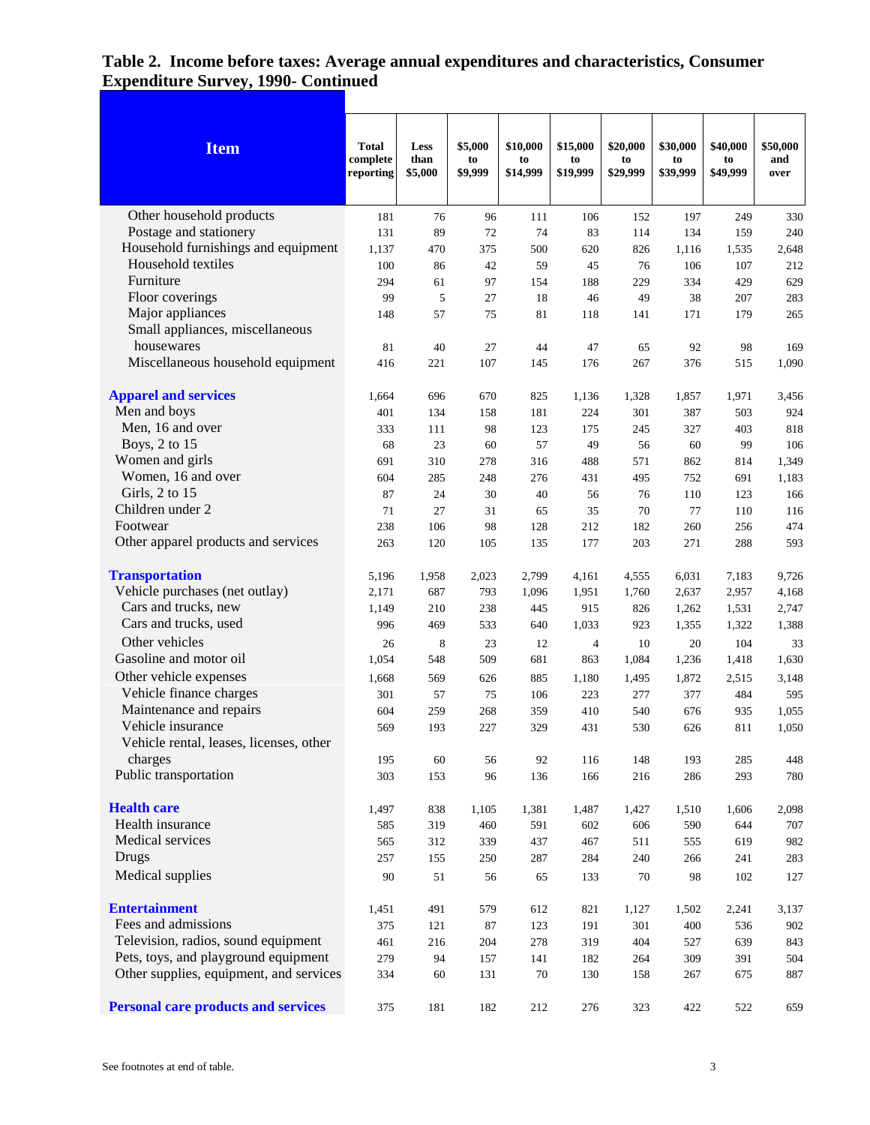| <b>Item</b>                                | <b>Total</b><br>complete<br>reporting | Less<br>than<br>\$5,000 | \$5,000<br>to<br>\$9,999 | \$10,000<br>to<br>\$14,999 | \$15,000<br>to<br>\$19,999 | \$20,000<br>to<br>\$29,999 | \$30,000<br>to<br>\$39,999 | \$40,000<br>to<br>\$49,999 | \$50,000<br>and<br>over |
|--------------------------------------------|---------------------------------------|-------------------------|--------------------------|----------------------------|----------------------------|----------------------------|----------------------------|----------------------------|-------------------------|
| Other household products                   | 181                                   | 76                      | 96                       | 111                        | 106                        | 152                        | 197                        | 249                        | 330                     |
| Postage and stationery                     | 131                                   | 89                      | 72                       | 74                         | 83                         | 114                        | 134                        | 159                        | 240                     |
| Household furnishings and equipment        | 1,137                                 | 470                     | 375                      | 500                        | 620                        | 826                        | 1,116                      | 1,535                      | 2,648                   |
| Household textiles                         | 100                                   | 86                      | 42                       | 59                         | 45                         | 76                         | 106                        | 107                        | 212                     |
| Furniture                                  | 294                                   | 61                      | 97                       | 154                        | 188                        | 229                        | 334                        | 429                        | 629                     |
| Floor coverings                            | 99                                    | 5                       | 27                       | 18                         | 46                         | 49                         | 38                         | 207                        | 283                     |
| Major appliances                           | 148                                   | 57                      | 75                       | 81                         | 118                        | 141                        | 171                        | 179                        | 265                     |
| Small appliances, miscellaneous            |                                       |                         |                          |                            |                            |                            |                            |                            |                         |
| housewares                                 | 81                                    | 40                      | 27                       | 44                         | 47                         | 65                         | 92                         | 98                         | 169                     |
| Miscellaneous household equipment          | 416                                   | 221                     | 107                      | 145                        | 176                        | 267                        | 376                        | 515                        | 1,090                   |
|                                            |                                       |                         |                          |                            |                            |                            |                            |                            |                         |
| <b>Apparel and services</b>                | 1,664                                 | 696                     | 670                      | 825                        | 1,136                      | 1,328                      | 1,857                      | 1,971                      | 3,456                   |
| Men and boys                               | 401                                   | 134                     | 158                      | 181                        | 224                        | 301                        | 387                        | 503                        | 924                     |
| Men, 16 and over                           | 333                                   | 111                     | 98                       | 123                        | 175                        | 245                        | 327                        | 403                        | 818                     |
| Boys, 2 to 15                              | 68                                    | 23                      | 60                       | 57                         | 49                         | 56                         | 60                         | 99                         | 106                     |
| Women and girls                            | 691                                   | 310                     | 278                      | 316                        | 488                        | 571                        | 862                        | 814                        | 1,349                   |
| Women, 16 and over                         | 604                                   | 285                     | 248                      | 276                        | 431                        | 495                        | 752                        | 691                        | 1,183                   |
| Girls, 2 to 15                             | 87                                    | 24                      | 30                       | 40                         | 56                         | 76                         | 110                        | 123                        | 166                     |
| Children under 2                           | 71                                    | 27                      | 31                       | 65                         | 35                         | 70                         | 77                         | 110                        | 116                     |
| Footwear                                   | 238                                   | 106                     | 98                       | 128                        | 212                        | 182                        | 260                        | 256                        | 474                     |
| Other apparel products and services        | 263                                   | 120                     | 105                      | 135                        | 177                        | 203                        | 271                        | 288                        | 593                     |
| <b>Transportation</b>                      | 5,196                                 | 1,958                   | 2,023                    | 2,799                      | 4,161                      | 4,555                      | 6,031                      | 7,183                      | 9,726                   |
| Vehicle purchases (net outlay)             | 2,171                                 | 687                     | 793                      | 1,096                      | 1,951                      | 1,760                      | 2,637                      | 2,957                      | 4,168                   |
| Cars and trucks, new                       | 1,149                                 | 210                     | 238                      | 445                        | 915                        | 826                        | 1,262                      | 1,531                      | 2,747                   |
| Cars and trucks, used                      | 996                                   | 469                     | 533                      | 640                        | 1,033                      | 923                        | 1,355                      | 1,322                      | 1,388                   |
| Other vehicles                             | 26                                    | 8                       | 23                       | 12                         | $\overline{4}$             | 10                         | 20                         | 104                        | 33                      |
| Gasoline and motor oil                     | 1,054                                 | 548                     | 509                      | 681                        | 863                        | 1,084                      | 1,236                      | 1,418                      | 1,630                   |
| Other vehicle expenses                     | 1,668                                 | 569                     | 626                      | 885                        | 1,180                      | 1,495                      | 1,872                      | 2,515                      | 3,148                   |
| Vehicle finance charges                    | 301                                   | 57                      | 75                       | 106                        | 223                        | 277                        | 377                        | 484                        | 595                     |
| Maintenance and repairs                    | 604                                   | 259                     | 268                      | 359                        | 410                        | 540                        | 676                        | 935                        | 1,055                   |
| Vehicle insurance                          | 569                                   | 193                     | 227                      | 329                        | 431                        | 530                        | 626                        | 811                        | 1,050                   |
| Vehicle rental, leases, licenses, other    |                                       |                         |                          |                            |                            |                            |                            |                            |                         |
| charges                                    | 195                                   | 60                      | 56                       | 92                         | 116                        | 148                        | 193                        | 285                        | 448                     |
| Public transportation                      | 303                                   | 153                     | 96                       | 136                        | 166                        | 216                        | 286                        | 293                        | 780                     |
| <b>Health care</b>                         | 1,497                                 | 838                     | 1,105                    | 1,381                      | 1,487                      | 1,427                      | 1,510                      | 1,606                      | 2,098                   |
| Health insurance                           | 585                                   | 319                     | 460                      | 591                        | 602                        | 606                        | 590                        | 644                        | 707                     |
| Medical services                           | 565                                   | 312                     | 339                      | 437                        | 467                        | 511                        | 555                        | 619                        | 982                     |
| Drugs                                      | 257                                   | 155                     | 250                      | 287                        | 284                        | 240                        | 266                        | 241                        | 283                     |
| Medical supplies                           | $90\,$                                |                         | 56                       | 65                         |                            | 70                         | 98                         | 102                        | 127                     |
|                                            |                                       | 51                      |                          |                            | 133                        |                            |                            |                            |                         |
| <b>Entertainment</b>                       | 1,451                                 | 491                     | 579                      | 612                        | 821                        | 1,127                      | 1,502                      | 2,241                      | 3,137                   |
| Fees and admissions                        | 375                                   | 121                     | 87                       | 123                        | 191                        | 301                        | 400                        | 536                        | 902                     |
| Television, radios, sound equipment        | 461                                   | 216                     | 204                      | 278                        | 319                        | 404                        | 527                        | 639                        | 843                     |
| Pets, toys, and playground equipment       | 279                                   | 94                      | 157                      | 141                        | 182                        | 264                        | 309                        | 391                        | 504                     |
| Other supplies, equipment, and services    | 334                                   | 60                      | 131                      | 70                         | 130                        | 158                        | 267                        | 675                        | 887                     |
| <b>Personal care products and services</b> | 375                                   | 181                     | 182                      | 212                        | 276                        | 323                        | 422                        | 522                        | 659                     |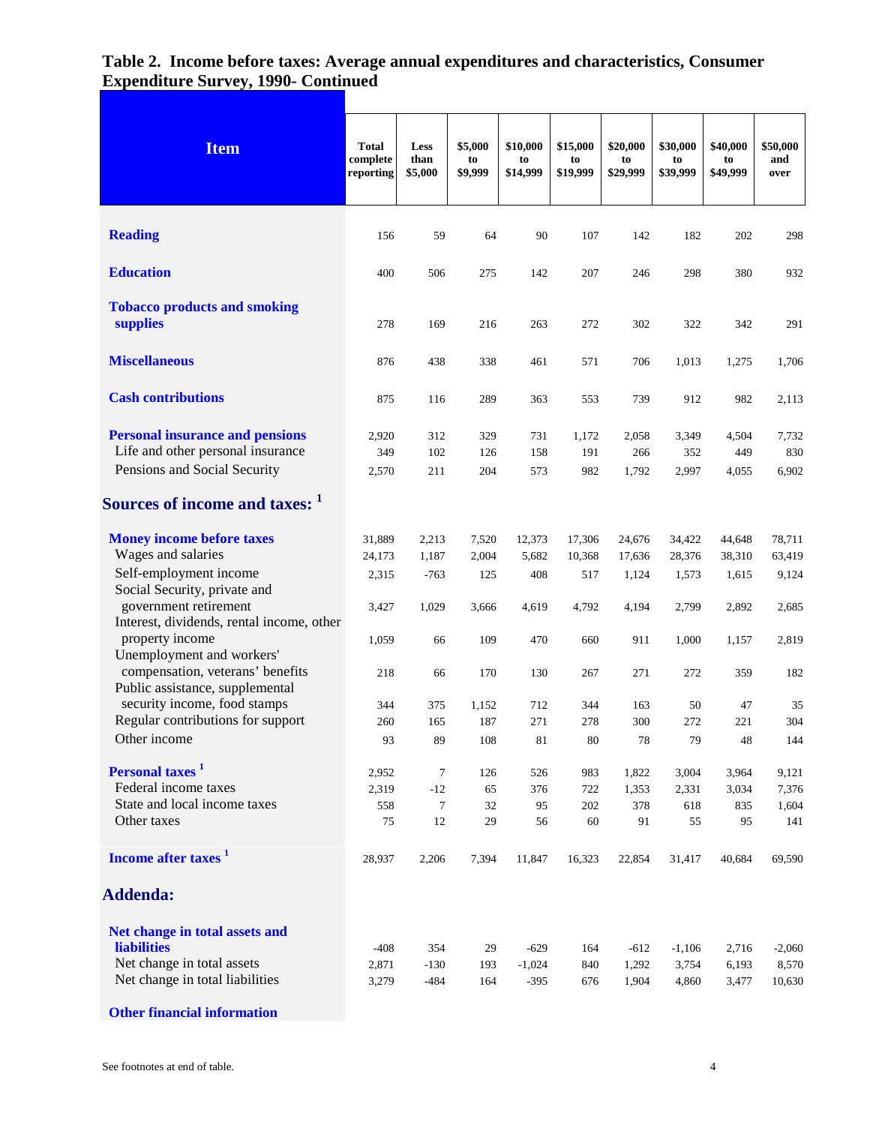| <b>Item</b>                                                         | <b>Total</b><br>complete<br>reporting | Less<br>than<br>\$5,000 | \$5,000<br>to<br>\$9,999 | \$10,000<br>to<br>\$14,999 | \$15,000<br>to<br>\$19,999 | \$20,000<br>to<br>\$29,999 | \$30,000<br>to<br>\$39,999 | \$40,000<br>to<br>\$49,999 | \$50,000<br>and<br>over |
|---------------------------------------------------------------------|---------------------------------------|-------------------------|--------------------------|----------------------------|----------------------------|----------------------------|----------------------------|----------------------------|-------------------------|
| <b>Reading</b>                                                      | 156                                   | 59                      | 64                       | 90                         | 107                        | 142                        | 182                        | 202                        | 298                     |
|                                                                     |                                       |                         |                          |                            |                            |                            |                            |                            |                         |
| <b>Education</b>                                                    | 400                                   | 506                     | 275                      | 142                        | 207                        | 246                        | 298                        | 380                        | 932                     |
| <b>Tobacco products and smoking</b><br>supplies                     | 278                                   | 169                     | 216                      | 263                        | 272                        | 302                        | 322                        | 342                        | 291                     |
| <b>Miscellaneous</b>                                                | 876                                   | 438                     | 338                      | 461                        | 571                        | 706                        | 1,013                      | 1,275                      | 1,706                   |
| <b>Cash contributions</b>                                           | 875                                   | 116                     | 289                      | 363                        | 553                        | 739                        | 912                        | 982                        | 2,113                   |
| <b>Personal insurance and pensions</b>                              | 2,920                                 | 312                     | 329                      | 731                        | 1,172                      | 2,058                      | 3,349                      | 4,504                      | 7,732                   |
| Life and other personal insurance                                   | 349                                   | 102                     | 126                      | 158                        | 191                        | 266                        | 352                        | 449                        | 830                     |
| Pensions and Social Security                                        | 2,570                                 | 211                     | 204                      | 573                        | 982                        | 1,792                      | 2,997                      | 4,055                      | 6,902                   |
| Sources of income and taxes: 1                                      |                                       |                         |                          |                            |                            |                            |                            |                            |                         |
| <b>Money income before taxes</b>                                    | 31,889                                | 2,213                   | 7,520                    | 12,373                     | 17,306                     | 24,676                     | 34,422                     | 44,648                     | 78,711                  |
| Wages and salaries                                                  | 24,173                                | 1,187                   | 2,004                    | 5,682                      | 10,368                     | 17,636                     | 28,376                     | 38,310                     | 63,419                  |
| Self-employment income<br>Social Security, private and              | 2,315                                 | $-763$                  | 125                      | 408                        | 517                        | 1,124                      | 1,573                      | 1,615                      | 9,124                   |
| government retirement                                               | 3,427                                 | 1,029                   | 3,666                    | 4,619                      | 4,792                      | 4,194                      | 2,799                      | 2,892                      | 2,685                   |
| Interest, dividends, rental income, other<br>property income        |                                       |                         |                          |                            |                            |                            |                            |                            |                         |
| Unemployment and workers'                                           | 1,059                                 | 66                      | 109                      | 470                        | 660                        | 911                        | 1,000                      | 1,157                      | 2,819                   |
| compensation, veterans' benefits<br>Public assistance, supplemental | 218                                   | 66                      | 170                      | 130                        | 267                        | 271                        | 272                        | 359                        | 182                     |
| security income, food stamps                                        | 344                                   | 375                     | 1,152                    | 712                        | 344                        | 163                        | 50                         | 47                         | 35                      |
| Regular contributions for support                                   | 260                                   | 165                     | 187                      | 271                        | 278                        | 300                        | 272                        | 221                        | 304                     |
| Other income                                                        | 93                                    | 89                      | 108                      | 81                         | 80                         | 78                         | 79                         | 48                         | 144                     |
| Personal taxes <sup>1</sup>                                         | 2,952                                 | $\tau$                  | 126                      | 526                        | 983                        | 1,822                      | 3,004                      | 3,964                      | 9,121                   |
| Federal income taxes                                                | 2,319                                 | $-12$                   | 65                       | 376                        | 722                        | 1,353                      | 2,331                      | 3,034                      | 7,376                   |
| State and local income taxes                                        | 558                                   | $\tau$                  | 32                       | 95                         | 202                        | 378                        | 618                        | 835                        | 1,604                   |
| Other taxes                                                         | 75                                    | 12                      | 29                       | 56                         | 60                         | 91                         | 55                         | 95                         | 141                     |
| Income after taxes <sup>1</sup>                                     | 28,937                                | 2,206                   | 7,394                    | 11,847                     | 16,323                     | 22,854                     | 31,417                     | 40,684                     | 69,590                  |
| <b>Addenda:</b>                                                     |                                       |                         |                          |                            |                            |                            |                            |                            |                         |
| Net change in total assets and                                      |                                       |                         |                          |                            |                            |                            |                            |                            |                         |
| <b>liabilities</b>                                                  | $-408$                                | 354                     | 29                       | $-629$                     | 164                        | $-612$                     | $-1,106$                   | 2,716                      | $-2,060$                |
| Net change in total assets                                          | 2,871                                 | $-130$                  | 193                      | $-1,024$                   | 840                        | 1,292                      | 3,754                      | 6,193                      | 8,570                   |
| Net change in total liabilities                                     | 3,279                                 | $-484$                  | 164                      | $-395$                     | 676                        | 1,904                      | 4,860                      | 3,477                      | 10,630                  |

**Other financial information**